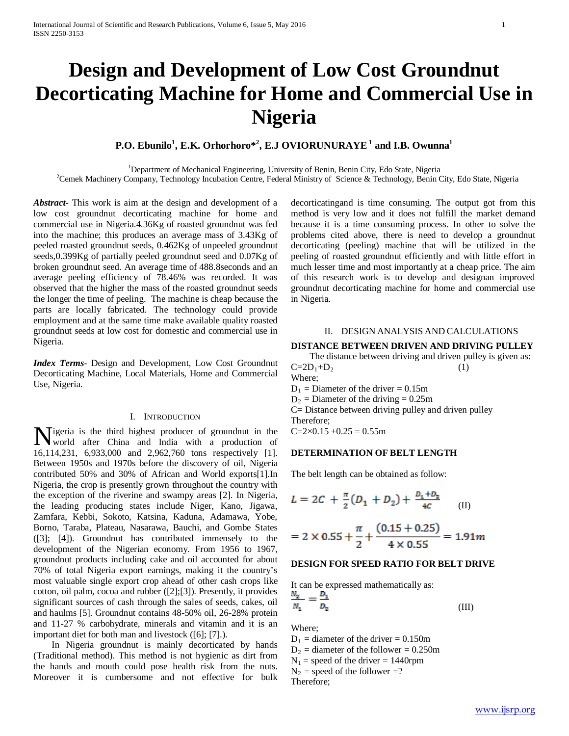# **Design and Development of Low Cost Groundnut Decorticating Machine for Home and Commercial Use in Nigeria**

## **P.O. Ebunilo<sup>1</sup> , E.K. Orhorhoro\*2 , E.J OVIORUNURAYE<sup>1</sup> and I.B. Owunna1**

<sup>1</sup>Department of Mechanical Engineering, University of Benin, Benin City, Edo State, Nigeria <sup>2</sup>Cemek Machinery Company, Technology Incubation Centre, Federal Ministry of Science & Technology, Benin City, Edo State, Nigeria

*Abstract***-** This work is aim at the design and development of a low cost groundnut decorticating machine for home and commercial use in Nigeria.4.36Kg of roasted groundnut was fed into the machine; this produces an average mass of 3.43Kg of peeled roasted groundnut seeds, 0.462Kg of unpeeled groundnut seeds,0.399Kg of partially peeled groundnut seed and 0.07Kg of broken groundnut seed. An average time of 488.8seconds and an average peeling efficiency of 78.46% was recorded. It was observed that the higher the mass of the roasted groundnut seeds the longer the time of peeling. The machine is cheap because the parts are locally fabricated. The technology could provide employment and at the same time make available quality roasted groundnut seeds at low cost for domestic and commercial use in Nigeria.

*Index Terms*- Design and Development, Low Cost Groundnut Decorticating Machine, Local Materials, Home and Commercial Use, Nigeria.

## I. INTRODUCTION

igeria is the third highest producer of groundnut in the Wigeria is the third highest producer of groundnut in the<br>world after China and India with a production of 16,114,231, 6,933,000 and 2,962,760 tons respectively [1]. Between 1950s and 1970s before the discovery of oil, Nigeria contributed 50% and 30% of African and World exports[1].In Nigeria, the crop is presently grown throughout the country with the exception of the riverine and swampy areas [2]. In Nigeria, the leading producing states include Niger, Kano, Jigawa, Zamfara, Kebbi, Sokoto, Katsina, Kaduna, Adamawa, Yobe, Borno, Taraba, Plateau, Nasarawa, Bauchi, and Gombe States ([3]; [4]). Groundnut has contributed immensely to the development of the Nigerian economy. From 1956 to 1967, groundnut products including cake and oil accounted for about 70% of total Nigeria export earnings, making it the country's most valuable single export crop ahead of other cash crops like cotton, oil palm, cocoa and rubber ([2];[3]). Presently, it provides significant sources of cash through the sales of seeds, cakes, oil and haulms [5]. Groundnut contains 48-50% oil, 26-28% protein and 11-27 % carbohydrate, minerals and vitamin and it is an important diet for both man and livestock ([6]; [7].).

 In Nigeria groundnut is mainly decorticated by hands (Traditional method). This method is not hygienic as dirt from the hands and mouth could pose health risk from the nuts. Moreover it is cumbersome and not effective for bulk decorticatingand is time consuming. The output got from this method is very low and it does not fulfill the market demand because it is a time consuming process. In other to solve the problems cited above, there is need to develop a groundnut decorticating (peeling) machine that will be utilized in the peeling of roasted groundnut efficiently and with little effort in much lesser time and most importantly at a cheap price. The aim of this research work is to develop and designan improved groundnut decorticating machine for home and commercial use in Nigeria.

#### II. DESIGN ANALYSIS AND CALCULATIONS

## **DISTANCE BETWEEN DRIVEN AND DRIVING PULLEY**

 The distance between driving and driven pulley is given as:  $C=2D_1+D_2$  (1)

Where;

 $D_1$  = Diameter of the driver = 0.15m

 $D_2$  = Diameter of the driving = 0.25m

C= Distance between driving pulley and driven pulley Therefore;

 $C=2\times0.15+0.25=0.55m$ 

## **DETERMINATION OF BELT LENGTH**

The belt length can be obtained as follow:

$$
L = 2C + \frac{\pi}{2}(D_1 + D_2) + \frac{D_1 + D_2}{4C}
$$
 (II)

$$
= 2 \times 0.55 + \frac{\pi}{2} + \frac{(0.15 + 0.25)}{4 \times 0.55} = 1.91m
$$

## **DESIGN FOR SPEED RATIO FOR BELT DRIVE**

It can be expressed mathematically as:<br> $\mathbf{A}$ 

$$
\frac{N_2}{N_1} = \frac{24}{D_2} \tag{III}
$$

Where;

 $D_1$  = diameter of the driver = 0.150m

 $D_2$  = diameter of the follower = 0.250m

 $N_1$  = speed of the driver = 1440rpm

 $N_2$  = speed of the follower =?

Therefore;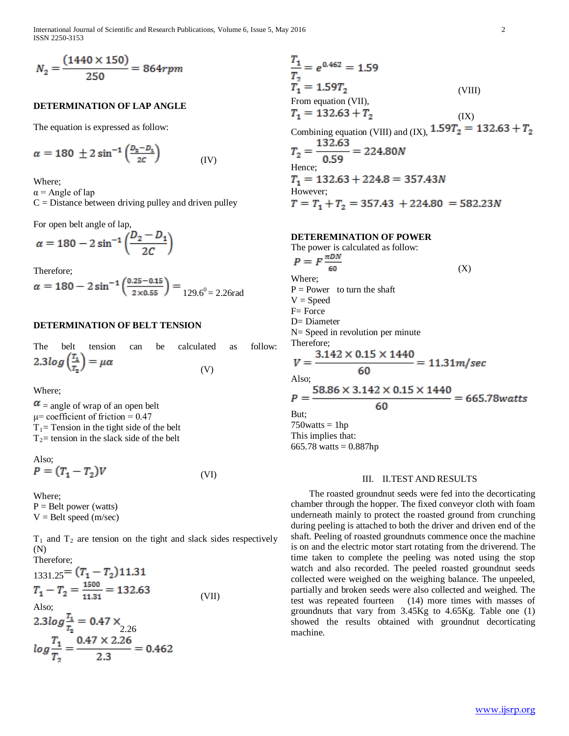International Journal of Scientific and Research Publications, Volume 6, Issue 5, May 2016 2 ISSN 2250-3153

$$
N_2 = \frac{(1440 \times 150)}{250} = 864 rpm
$$

## **DETERMINATION OF LAP ANGLE**

The equation is expressed as follow:

$$
\alpha = 180 \pm 2 \sin^{-1} \left( \frac{D_2 - D_3}{2C} \right) \tag{IV}
$$

Where;

 $\alpha$  = Angle of lap

 $C =$  Distance between driving pulley and driven pulley

For open belt angle of lap,

$$
\alpha = 180 - 2\sin^{-1}\left(\frac{D_2 - D_1}{2C}\right)
$$

Therefore;

$$
\alpha = 180 - 2\sin^{-1}\left(\frac{0.25 - 0.15}{2 \times 0.55}\right) = \frac{129.6^0}{129.6^0} = 2.26 \text{rad}
$$

## **DETERMINATION OF BELT TENSION**

|                                         |  | The belt tension can be calculated as follow: |  |
|-----------------------------------------|--|-----------------------------------------------|--|
| $2.3 log(\frac{T_1}{T_2}) = \mu \alpha$ |  | (V)                                           |  |

Where;

 $\alpha$  = angle of wrap of an open belt μ= coefficient of friction =  $0.47$  $T_1$ = Tension in the tight side of the belt  $T_2$ = tension in the slack side of the belt

Also; 
$$
\mathbf{D} = \mathbf{E} \mathbf{E}
$$

$$
P = (T_1 - T_2)V
$$
 (VI)

Where;

 $P =$  Belt power (watts)  $V =$ Belt speed (m/sec)

 $T_1$  and  $T_2$  are tension on the tight and slack sides respectively (N)

Therefore:  
\n
$$
_{1331.25} = (T_1 - T_2)11.31
$$
\n
$$
T_1 - T_2 = \frac{1500}{11.31} = 132.63
$$
\nAlso:  
\n
$$
2.3log \frac{T_1}{T_2} = 0.47 \times 2.26
$$
\n
$$
log \frac{T_1}{T_2} = \frac{0.47 \times 2.26}{2.3} = 0.462
$$

$$
\frac{T_1}{T_2} = e^{0.462} = 1.59
$$
  
\n
$$
T_1 = 1.59T_2
$$
 (VIII)  
\nFrom equation (VII),  
\n
$$
T_1 = 132.63 + T_2
$$
 (IX)  
\nCombining equation (VIII) and (IX),  $1.59T_2 = 132.63 + T_2$   
\n
$$
T_2 = \frac{132.63}{0.59} = 224.80N
$$
  
\nHence;  
\n
$$
T_1 = 132.63 + 224.8 = 357.43N
$$
  
\nHowever;  
\n
$$
T = T_1 + T_2 = 357.43 + 224.80 = 582.23N
$$

## **DETEREMINATION OF POWER**

The power is calculated as follow:

$$
P = F \frac{\pi DN}{60}
$$
\n( X)\nWhere;\n
$$
P = Power \text{ to turn the shaft}
$$
\n
$$
V = Speed
$$
\n
$$
F = Force
$$
\n
$$
D = Diameter
$$
\n
$$
N = Speed \text{ in revolution per minute}
$$
\n
$$
T = \frac{3.142 \times 0.15 \times 1440}{60} = 11.31 m/sec
$$
\nAlso;\n
$$
P = \frac{58.86 \times 3.142 \times 0.15 \times 1440}{60} = 665.78 watts
$$
\nBut;\n
$$
T = 76
$$

 $750watts = 1hp$ This implies that: 665.78 watts =  $0.887$ hp

#### III. II.TEST AND RESULTS

 The roasted groundnut seeds were fed into the decorticating chamber through the hopper. The fixed conveyor cloth with foam underneath mainly to protect the roasted ground from crunching during peeling is attached to both the driver and driven end of the shaft. Peeling of roasted groundnuts commence once the machine is on and the electric motor start rotating from the driverend. The time taken to complete the peeling was noted using the stop watch and also recorded. The peeled roasted groundnut seeds collected were weighed on the weighing balance. The unpeeled, partially and broken seeds were also collected and weighed. The test was repeated fourteen (14) more times with masses of groundnuts that vary from 3.45Kg to 4.65Kg. Table one (1) showed the results obtained with groundnut decorticating machine.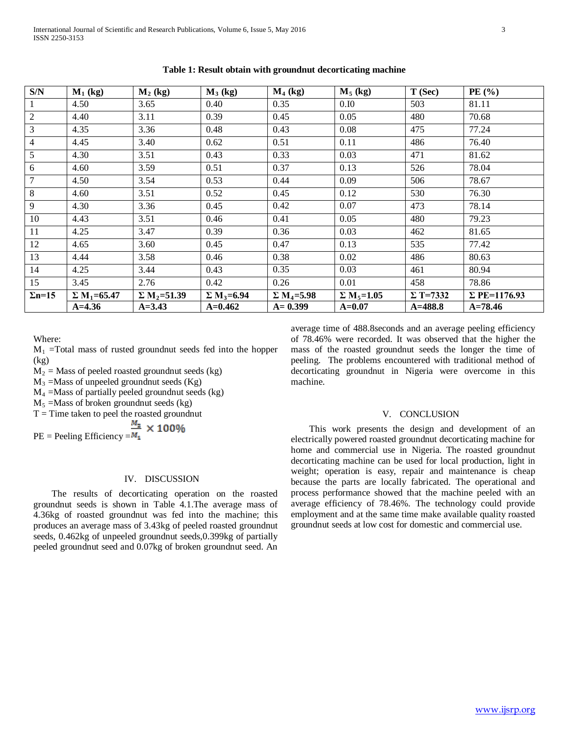| S/N            | $M_1$ (kg)                     | $M_2$ (kg)                     | $M_3$ (kg)                    | $M_4$ (kg)                    | $M_5$ (kg)                    | T(Sec)          | PE $(% )$           |
|----------------|--------------------------------|--------------------------------|-------------------------------|-------------------------------|-------------------------------|-----------------|---------------------|
| 1              | 4.50                           | 3.65                           | 0.40                          | 0.35                          | 0.10                          | 503             | 81.11               |
| $\overline{2}$ | 4.40                           | 3.11                           | 0.39                          | 0.45                          | 0.05                          | 480             | 70.68               |
| $\overline{3}$ | 4.35                           | 3.36                           | 0.48                          | 0.43                          | 0.08                          | 475             | 77.24               |
| $\overline{4}$ | 4.45                           | 3.40                           | 0.62                          | 0.51                          | 0.11                          | 486             | 76.40               |
| 5 <sup>5</sup> | 4.30                           | 3.51                           | 0.43                          | 0.33                          | 0.03                          | 471             | 81.62               |
| 6              | 4.60                           | 3.59                           | 0.51                          | 0.37                          | 0.13                          | 526             | 78.04               |
| 7              | 4.50                           | 3.54                           | 0.53                          | 0.44                          | 0.09                          | 506             | 78.67               |
| 8              | 4.60                           | 3.51                           | 0.52                          | 0.45                          | 0.12                          | 530             | 76.30               |
| 9              | 4.30                           | 3.36                           | 0.45                          | 0.42                          | 0.07                          | 473             | 78.14               |
| 10             | 4.43                           | 3.51                           | 0.46                          | 0.41                          | 0.05                          | 480             | 79.23               |
| 11             | 4.25                           | 3.47                           | 0.39                          | 0.36                          | 0.03                          | 462             | 81.65               |
| 12             | 4.65                           | 3.60                           | 0.45                          | 0.47                          | 0.13                          | 535             | 77.42               |
| 13             | 4.44                           | 3.58                           | 0.46                          | 0.38                          | 0.02                          | 486             | 80.63               |
| 14             | 4.25                           | 3.44                           | 0.43                          | 0.35                          | 0.03                          | 461             | 80.94               |
| 15             | 3.45                           | 2.76                           | 0.42                          | 0.26                          | 0.01                          | 458             | 78.86               |
| $\Sigma$ n=15  | $\Sigma$ M <sub>1</sub> =65.47 | $\Sigma$ M <sub>2</sub> =51.39 | $\Sigma$ M <sub>3</sub> =6.94 | $\Sigma$ M <sub>4</sub> =5.98 | $\Sigma$ M <sub>5</sub> =1.05 | $\Sigma$ T=7332 | $\Sigma$ PE=1176.93 |
|                | $A = 4.36$                     | $A = 3.43$                     | $A=0.462$                     | $A = 0.399$                   | $A = 0.07$                    | $A = 488.8$     | $A = 78.46$         |

**Table 1: Result obtain with groundnut decorticating machine**

Where:

 $M_1$  =Total mass of rusted groundnut seeds fed into the hopper (kg)

 $M_2$  = Mass of peeled roasted groundnut seeds (kg)

 $M_3$  =Mass of unpeeled groundnut seeds (Kg)

 $M_4$  =Mass of partially peeled groundnut seeds (kg)

 $M_5$  =Mass of broken groundnut seeds (kg)

 $T =$  Time taken to peel the roasted groundnut

PE = Peeling Efficiency = $\frac{M_2}{M_1} \times 100\%$ 

## IV. DISCUSSION

 The results of decorticating operation on the roasted groundnut seeds is shown in Table 4.1.The average mass of 4.36kg of roasted groundnut was fed into the machine; this produces an average mass of 3.43kg of peeled roasted groundnut seeds, 0.462kg of unpeeled groundnut seeds,0.399kg of partially peeled groundnut seed and 0.07kg of broken groundnut seed. An average time of 488.8seconds and an average peeling efficiency of 78.46% were recorded. It was observed that the higher the mass of the roasted groundnut seeds the longer the time of peeling. The problems encountered with traditional method of decorticating groundnut in Nigeria were overcome in this machine.

## V. CONCLUSION

 This work presents the design and development of an electrically powered roasted groundnut decorticating machine for home and commercial use in Nigeria. The roasted groundnut decorticating machine can be used for local production, light in weight; operation is easy, repair and maintenance is cheap because the parts are locally fabricated. The operational and process performance showed that the machine peeled with an average efficiency of 78.46%. The technology could provide employment and at the same time make available quality roasted groundnut seeds at low cost for domestic and commercial use.